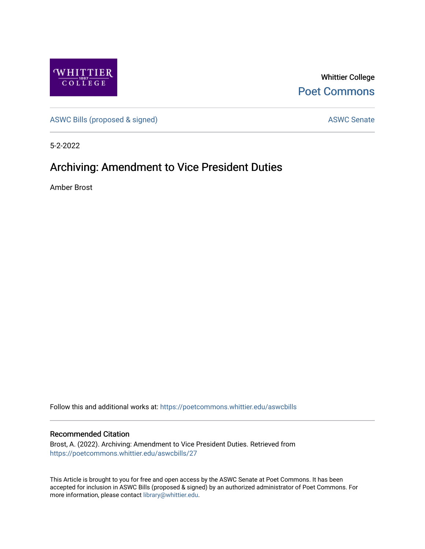

Whittier College [Poet Commons](https://poetcommons.whittier.edu/) 

[ASWC Bills \(proposed & signed\)](https://poetcommons.whittier.edu/aswcbills) ASWC Senate

5-2-2022

## Archiving: Amendment to Vice President Duties

Amber Brost

Follow this and additional works at: [https://poetcommons.whittier.edu/aswcbills](https://poetcommons.whittier.edu/aswcbills?utm_source=poetcommons.whittier.edu%2Faswcbills%2F27&utm_medium=PDF&utm_campaign=PDFCoverPages) 

## Recommended Citation

Brost, A. (2022). Archiving: Amendment to Vice President Duties. Retrieved from [https://poetcommons.whittier.edu/aswcbills/27](https://poetcommons.whittier.edu/aswcbills/27?utm_source=poetcommons.whittier.edu%2Faswcbills%2F27&utm_medium=PDF&utm_campaign=PDFCoverPages)

This Article is brought to you for free and open access by the ASWC Senate at Poet Commons. It has been accepted for inclusion in ASWC Bills (proposed & signed) by an authorized administrator of Poet Commons. For more information, please contact [library@whittier.edu.](mailto:library@whittier.edu)